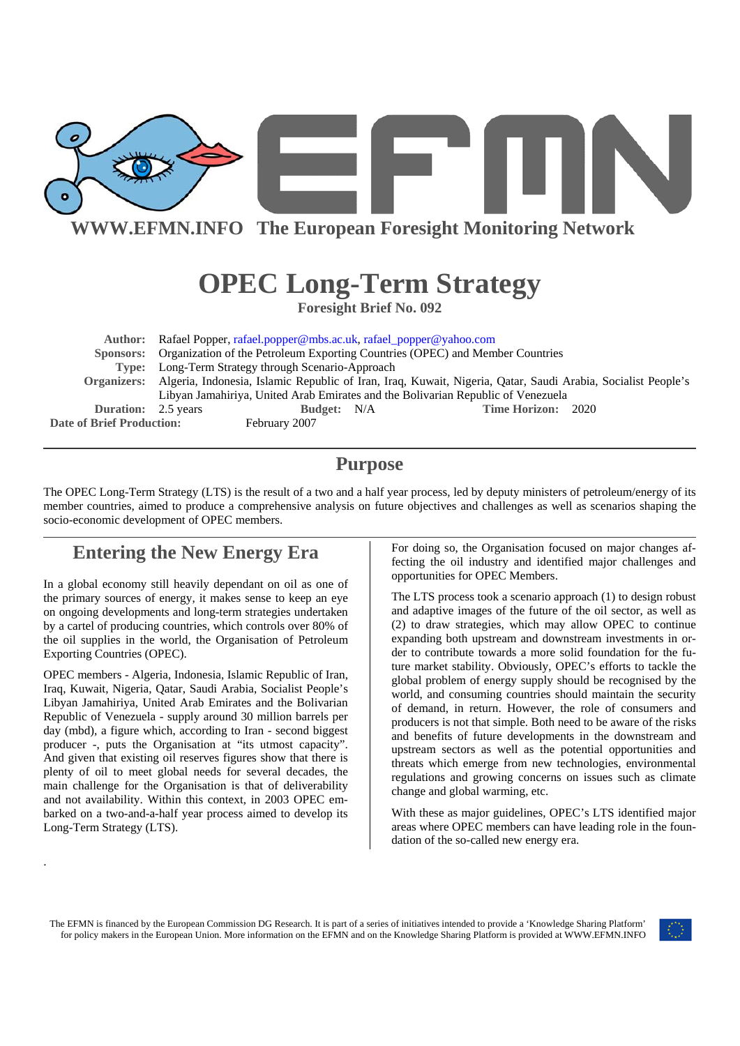

# **OPEC Long-Term Strategy**

**Foresight Brief No. 092** 

**Author:** Rafael Popper, rafael.popper@mbs.ac.uk, rafael\_popper@yahoo.com  **Sponsors:** Organization of the Petroleum Exporting Countries (OPEC) and Member Countries **Type:** Long-Term Strategy through Scenario-Approach **Organizers:** Algeria, Indonesia, Islamic Republic of Iran, Iraq, Kuwait, Nigeria, Qatar, Saudi Arabia, Socialist People's Libyan Jamahiriya, United Arab Emirates and the Bolivarian Republic of Venezuela **Duration:** 2.5 years **Budget:** N/A **Time Horizon:** 2020 **Date of Brief Production:** February 2007

### **Purpose**

The OPEC Long-Term Strategy (LTS) is the result of a two and a half year process, led by deputy ministers of petroleum/energy of its member countries, aimed to produce a comprehensive analysis on future objectives and challenges as well as scenarios shaping the socio-economic development of OPEC members.

## **Entering the New Energy Era**

In a global economy still heavily dependant on oil as one of the primary sources of energy, it makes sense to keep an eye on ongoing developments and long-term strategies undertaken by a cartel of producing countries, which controls over 80% of the oil supplies in the world, the Organisation of Petroleum Exporting Countries (OPEC).

OPEC members - Algeria, Indonesia, Islamic Republic of Iran, Iraq, Kuwait, Nigeria, Qatar, Saudi Arabia, Socialist People's Libyan Jamahiriya, United Arab Emirates and the Bolivarian Republic of Venezuela - supply around 30 million barrels per day (mbd), a figure which, according to Iran - second biggest producer -, puts the Organisation at "its utmost capacity". And given that existing oil reserves figures show that there is plenty of oil to meet global needs for several decades, the main challenge for the Organisation is that of deliverability and not availability. Within this context, in 2003 OPEC embarked on a two-and-a-half year process aimed to develop its Long-Term Strategy (LTS).

.

For doing so, the Organisation focused on major changes affecting the oil industry and identified major challenges and opportunities for OPEC Members.

The LTS process took a scenario approach (1) to design robust and adaptive images of the future of the oil sector, as well as (2) to draw strategies, which may allow OPEC to continue expanding both upstream and downstream investments in order to contribute towards a more solid foundation for the future market stability. Obviously, OPEC's efforts to tackle the global problem of energy supply should be recognised by the world, and consuming countries should maintain the security of demand, in return. However, the role of consumers and producers is not that simple. Both need to be aware of the risks and benefits of future developments in the downstream and upstream sectors as well as the potential opportunities and threats which emerge from new technologies, environmental regulations and growing concerns on issues such as climate change and global warming, etc.

With these as major guidelines, OPEC's LTS identified major areas where OPEC members can have leading role in the foundation of the so-called new energy era.

The EFMN is financed by the European Commission DG Research. It is part of a series of initiatives intended to provide a 'Knowledge Sharing Platform' for policy makers in the European Union. More information on the EFMN and on the Knowledge Sharing Platform is provided at WWW.EFMN.INFO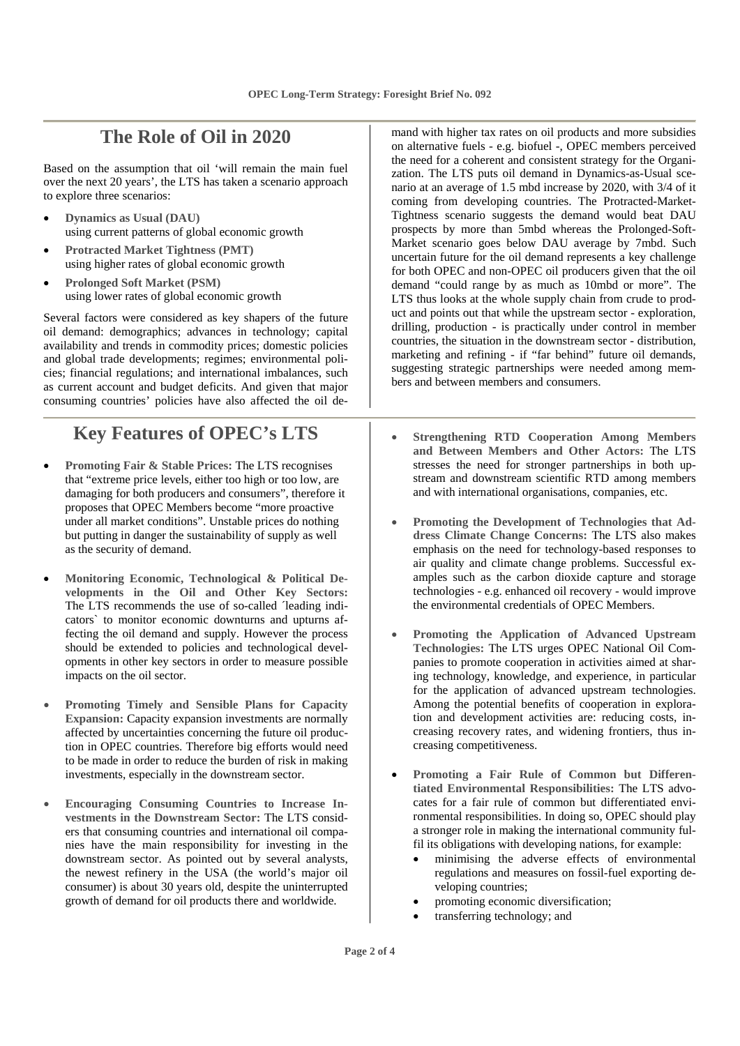#### **The Role of Oil in 2020**

Based on the assumption that oil 'will remain the main fuel over the next 20 years', the LTS has taken a scenario approach to explore three scenarios:

- **Dynamics as Usual (DAU)** using current patterns of global economic growth
- **Protracted Market Tightness (PMT)** using higher rates of global economic growth
- **Prolonged Soft Market (PSM)** using lower rates of global economic growth

Several factors were considered as key shapers of the future oil demand: demographics; advances in technology; capital availability and trends in commodity prices; domestic policies and global trade developments; regimes; environmental policies; financial regulations; and international imbalances, such as current account and budget deficits. And given that major consuming countries' policies have also affected the oil de-

## **Key Features of OPEC's LTS**

- **Promoting Fair & Stable Prices:** The LTS recognises that "extreme price levels, either too high or too low, are damaging for both producers and consumers", therefore it proposes that OPEC Members become "more proactive under all market conditions". Unstable prices do nothing but putting in danger the sustainability of supply as well as the security of demand.
- **Monitoring Economic, Technological & Political Developments in the Oil and Other Key Sectors:**  The LTS recommends the use of so-called ´leading indicators` to monitor economic downturns and upturns affecting the oil demand and supply. However the process should be extended to policies and technological developments in other key sectors in order to measure possible impacts on the oil sector.
- **Promoting Timely and Sensible Plans for Capacity Expansion:** Capacity expansion investments are normally affected by uncertainties concerning the future oil production in OPEC countries. Therefore big efforts would need to be made in order to reduce the burden of risk in making investments, especially in the downstream sector.
- **Encouraging Consuming Countries to Increase Investments in the Downstream Sector:** The LTS considers that consuming countries and international oil companies have the main responsibility for investing in the downstream sector. As pointed out by several analysts, the newest refinery in the USA (the world's major oil consumer) is about 30 years old, despite the uninterrupted growth of demand for oil products there and worldwide.

mand with higher tax rates on oil products and more subsidies on alternative fuels - e.g. biofuel -, OPEC members perceived the need for a coherent and consistent strategy for the Organization. The LTS puts oil demand in Dynamics-as-Usual scenario at an average of 1.5 mbd increase by 2020, with 3/4 of it coming from developing countries. The Protracted-Market-Tightness scenario suggests the demand would beat DAU prospects by more than 5mbd whereas the Prolonged-Soft-Market scenario goes below DAU average by 7mbd. Such uncertain future for the oil demand represents a key challenge for both OPEC and non-OPEC oil producers given that the oil demand "could range by as much as 10mbd or more". The LTS thus looks at the whole supply chain from crude to product and points out that while the upstream sector - exploration, drilling, production - is practically under control in member countries, the situation in the downstream sector - distribution, marketing and refining - if "far behind" future oil demands, suggesting strategic partnerships were needed among members and between members and consumers.

- **Strengthening RTD Cooperation Among Members and Between Members and Other Actors:** The LTS stresses the need for stronger partnerships in both upstream and downstream scientific RTD among members and with international organisations, companies, etc.
- **Promoting the Development of Technologies that Address Climate Change Concerns:** The LTS also makes emphasis on the need for technology-based responses to air quality and climate change problems. Successful examples such as the carbon dioxide capture and storage technologies - e.g. enhanced oil recovery - would improve the environmental credentials of OPEC Members.
- **Promoting the Application of Advanced Upstream Technologies:** The LTS urges OPEC National Oil Companies to promote cooperation in activities aimed at sharing technology, knowledge, and experience, in particular for the application of advanced upstream technologies. Among the potential benefits of cooperation in exploration and development activities are: reducing costs, increasing recovery rates, and widening frontiers, thus increasing competitiveness.
- **Promoting a Fair Rule of Common but Differentiated Environmental Responsibilities:** The LTS advocates for a fair rule of common but differentiated environmental responsibilities. In doing so, OPEC should play a stronger role in making the international community fulfil its obligations with developing nations, for example:
	- minimising the adverse effects of environmental regulations and measures on fossil-fuel exporting developing countries;
	- promoting economic diversification;
	- transferring technology; and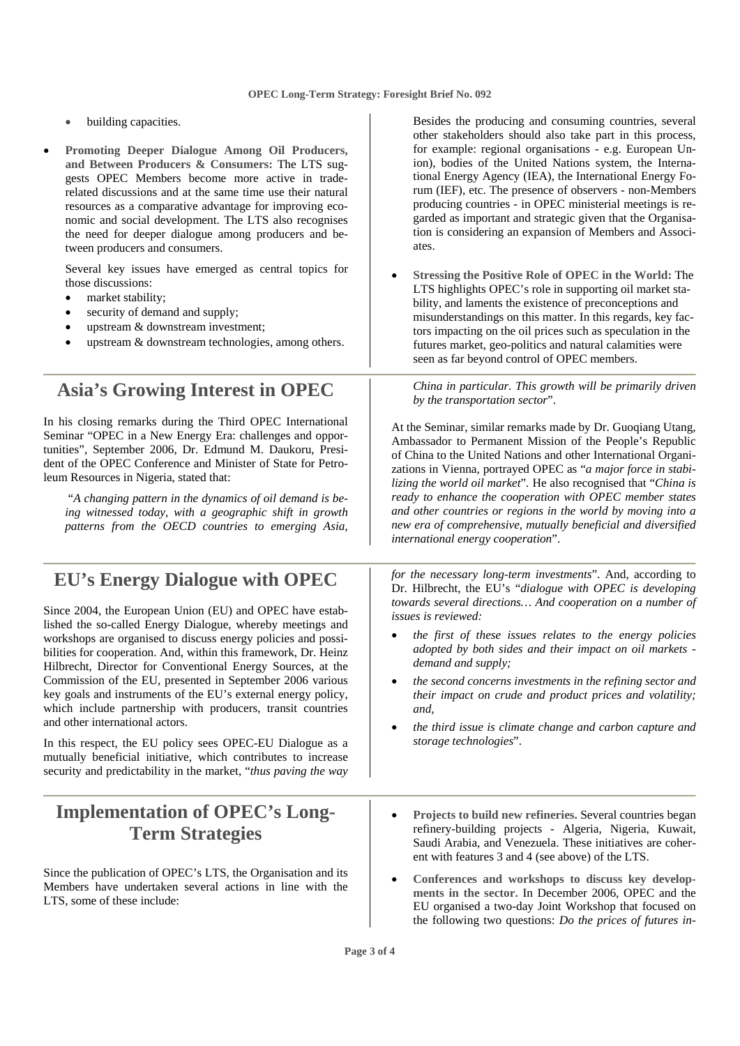- building capacities.
- **Promoting Deeper Dialogue Among Oil Producers, and Between Producers & Consumers:** The LTS suggests OPEC Members become more active in traderelated discussions and at the same time use their natural resources as a comparative advantage for improving economic and social development. The LTS also recognises the need for deeper dialogue among producers and between producers and consumers.

 Several key issues have emerged as central topics for those discussions:

- market stability;
- security of demand and supply;
- upstream & downstream investment;
- upstream  $&$  downstream technologies, among others.

**Asia's Growing Interest in OPEC** 

In his closing remarks during the Third OPEC International Seminar "OPEC in a New Energy Era: challenges and opportunities", September 2006, Dr. Edmund M. Daukoru, President of the OPEC Conference and Minister of State for Petroleum Resources in Nigeria, stated that:

 "*A changing pattern in the dynamics of oil demand is being witnessed today, with a geographic shift in growth patterns from the OECD countries to emerging Asia,* 

#### **EU's Energy Dialogue with OPEC**

Since 2004, the European Union (EU) and OPEC have established the so-called Energy Dialogue, whereby meetings and workshops are organised to discuss energy policies and possibilities for cooperation. And, within this framework, Dr. Heinz Hilbrecht, Director for Conventional Energy Sources, at the Commission of the EU, presented in September 2006 various key goals and instruments of the EU's external energy policy, which include partnership with producers, transit countries and other international actors.

In this respect, the EU policy sees OPEC-EU Dialogue as a mutually beneficial initiative, which contributes to increase security and predictability in the market, "*thus paving the way* 

#### **Implementation of OPEC's Long-Term Strategies**

Since the publication of OPEC's LTS, the Organisation and its Members have undertaken several actions in line with the LTS, some of these include:

Besides the producing and consuming countries, several other stakeholders should also take part in this process, for example: regional organisations - e.g. European Union), bodies of the United Nations system, the International Energy Agency (IEA), the International Energy Forum (IEF), etc. The presence of observers - non-Members producing countries - in OPEC ministerial meetings is regarded as important and strategic given that the Organisation is considering an expansion of Members and Associates.

• **Stressing the Positive Role of OPEC in the World:** The LTS highlights OPEC's role in supporting oil market stability, and laments the existence of preconceptions and misunderstandings on this matter. In this regards, key factors impacting on the oil prices such as speculation in the futures market, geo-politics and natural calamities were seen as far beyond control of OPEC members.

*China in particular. This growth will be primarily driven by the transportation sector*".

At the Seminar, similar remarks made by Dr. Guoqiang Utang, Ambassador to Permanent Mission of the People's Republic of China to the United Nations and other International Organizations in Vienna, portrayed OPEC as "*a major force in stabilizing the world oil market*"*.* He also recognised that "*China is ready to enhance the cooperation with OPEC member states and other countries or regions in the world by moving into a new era of comprehensive, mutually beneficial and diversified international energy cooperation*".

*for the necessary long-term investments*". And, according to Dr. Hilbrecht, the EU's "*dialogue with OPEC is developing towards several directions… And cooperation on a number of issues is reviewed:* 

- *the first of these issues relates to the energy policies adopted by both sides and their impact on oil markets demand and supply;*
- *the second concerns investments in the refining sector and their impact on crude and product prices and volatility; and,*
- *the third issue is climate change and carbon capture and storage technologies*".
- **Projects to build new refineries.** Several countries began refinery-building projects - Algeria, Nigeria, Kuwait, Saudi Arabia, and Venezuela. These initiatives are coherent with features 3 and 4 (see above) of the LTS.
- **Conferences and workshops to discuss key developments in the sector.** In December 2006, OPEC and the EU organised a two-day Joint Workshop that focused on the following two questions: *Do the prices of futures in-*